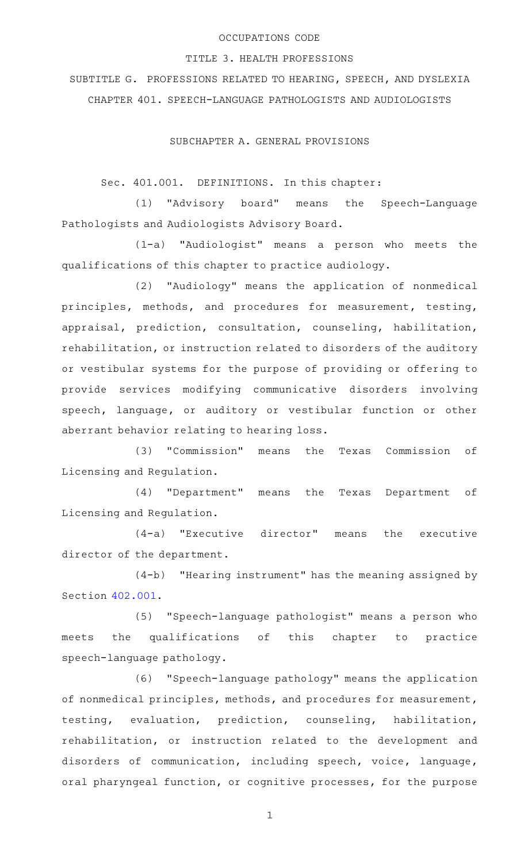## OCCUPATIONS CODE

## TITLE 3. HEALTH PROFESSIONS

SUBTITLE G. PROFESSIONS RELATED TO HEARING, SPEECH, AND DYSLEXIA CHAPTER 401. SPEECH-LANGUAGE PATHOLOGISTS AND AUDIOLOGISTS

SUBCHAPTER A. GENERAL PROVISIONS

Sec. 401.001. DEFINITIONS. In this chapter:

(1) "Advisory board" means the Speech-Language Pathologists and Audiologists Advisory Board.

(1-a) "Audiologist" means a person who meets the qualifications of this chapter to practice audiology.

(2) "Audiology" means the application of nonmedical principles, methods, and procedures for measurement, testing, appraisal, prediction, consultation, counseling, habilitation, rehabilitation, or instruction related to disorders of the auditory or vestibular systems for the purpose of providing or offering to provide services modifying communicative disorders involving speech, language, or auditory or vestibular function or other aberrant behavior relating to hearing loss.

(3) "Commission" means the Texas Commission of Licensing and Regulation.

(4) "Department" means the Texas Department of Licensing and Regulation.

 $(4-a)$  "Executive director" means the executive director of the department.

 $(4-b)$  "Hearing instrument" has the meaning assigned by Section [402.001.](http://www.statutes.legis.state.tx.us/GetStatute.aspx?Code=OC&Value=402.001)

(5) "Speech-language pathologist" means a person who meets the qualifications of this chapter to practice speech-language pathology.

(6) "Speech-language pathology" means the application of nonmedical principles, methods, and procedures for measurement, testing, evaluation, prediction, counseling, habilitation, rehabilitation, or instruction related to the development and disorders of communication, including speech, voice, language, oral pharyngeal function, or cognitive processes, for the purpose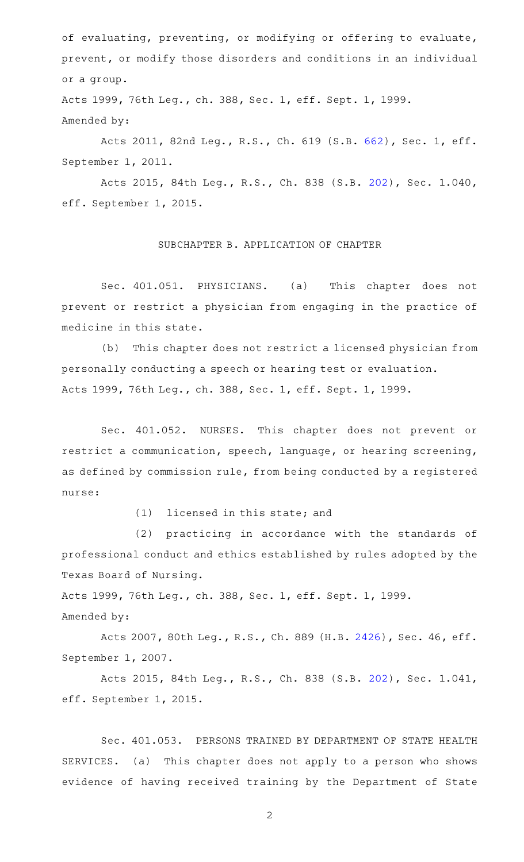of evaluating, preventing, or modifying or offering to evaluate, prevent, or modify those disorders and conditions in an individual or a group.

Acts 1999, 76th Leg., ch. 388, Sec. 1, eff. Sept. 1, 1999. Amended by:

Acts 2011, 82nd Leg., R.S., Ch. 619 (S.B. [662](http://www.legis.state.tx.us/tlodocs/82R/billtext/html/SB00662F.HTM)), Sec. 1, eff. September 1, 2011.

Acts 2015, 84th Leg., R.S., Ch. 838 (S.B. [202](http://www.legis.state.tx.us/tlodocs/84R/billtext/html/SB00202F.HTM)), Sec. 1.040, eff. September 1, 2015.

#### SUBCHAPTER B. APPLICATION OF CHAPTER

Sec. 401.051. PHYSICIANS. (a) This chapter does not prevent or restrict a physician from engaging in the practice of medicine in this state.

(b) This chapter does not restrict a licensed physician from personally conducting a speech or hearing test or evaluation. Acts 1999, 76th Leg., ch. 388, Sec. 1, eff. Sept. 1, 1999.

Sec. 401.052. NURSES. This chapter does not prevent or restrict a communication, speech, language, or hearing screening, as defined by commission rule, from being conducted by a registered nurse:

 $(1)$  licensed in this state; and

(2) practicing in accordance with the standards of professional conduct and ethics established by rules adopted by the Texas Board of Nursing.

Acts 1999, 76th Leg., ch. 388, Sec. 1, eff. Sept. 1, 1999. Amended by:

Acts 2007, 80th Leg., R.S., Ch. 889 (H.B. [2426\)](http://www.legis.state.tx.us/tlodocs/80R/billtext/html/HB02426F.HTM), Sec. 46, eff. September 1, 2007.

Acts 2015, 84th Leg., R.S., Ch. 838 (S.B. [202](http://www.legis.state.tx.us/tlodocs/84R/billtext/html/SB00202F.HTM)), Sec. 1.041, eff. September 1, 2015.

Sec. 401.053. PERSONS TRAINED BY DEPARTMENT OF STATE HEALTH SERVICES. (a) This chapter does not apply to a person who shows evidence of having received training by the Department of State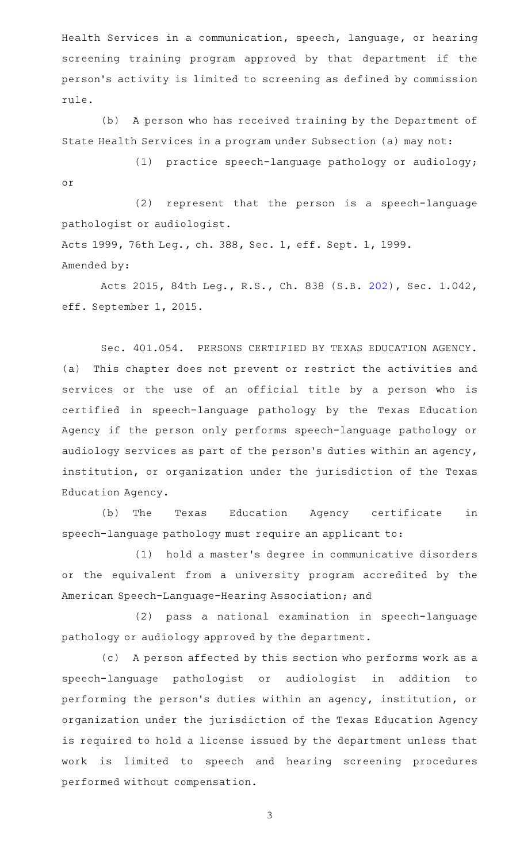Health Services in a communication, speech, language, or hearing screening training program approved by that department if the person 's activity is limited to screening as defined by commission rule.

(b) A person who has received training by the Department of State Health Services in a program under Subsection (a) may not:

(1) practice speech-language pathology or audiology; or

(2) represent that the person is a speech-language pathologist or audiologist.

Acts 1999, 76th Leg., ch. 388, Sec. 1, eff. Sept. 1, 1999. Amended by:

Acts 2015, 84th Leg., R.S., Ch. 838 (S.B. [202](http://www.legis.state.tx.us/tlodocs/84R/billtext/html/SB00202F.HTM)), Sec. 1.042, eff. September 1, 2015.

Sec. 401.054. PERSONS CERTIFIED BY TEXAS EDUCATION AGENCY. (a) This chapter does not prevent or restrict the activities and services or the use of an official title by a person who is certified in speech-language pathology by the Texas Education Agency if the person only performs speech-language pathology or audiology services as part of the person 's duties within an agency, institution, or organization under the jurisdiction of the Texas Education Agency.

(b) The Texas Education Agency certificate in speech-language pathology must require an applicant to:

(1) hold a master's degree in communicative disorders or the equivalent from a university program accredited by the American Speech-Language-Hearing Association; and

(2) pass a national examination in speech-language pathology or audiology approved by the department.

(c) A person affected by this section who performs work as a speech-language pathologist or audiologist in addition to performing the person 's duties within an agency, institution, or organization under the jurisdiction of the Texas Education Agency is required to hold a license issued by the department unless that work is limited to speech and hearing screening procedures performed without compensation.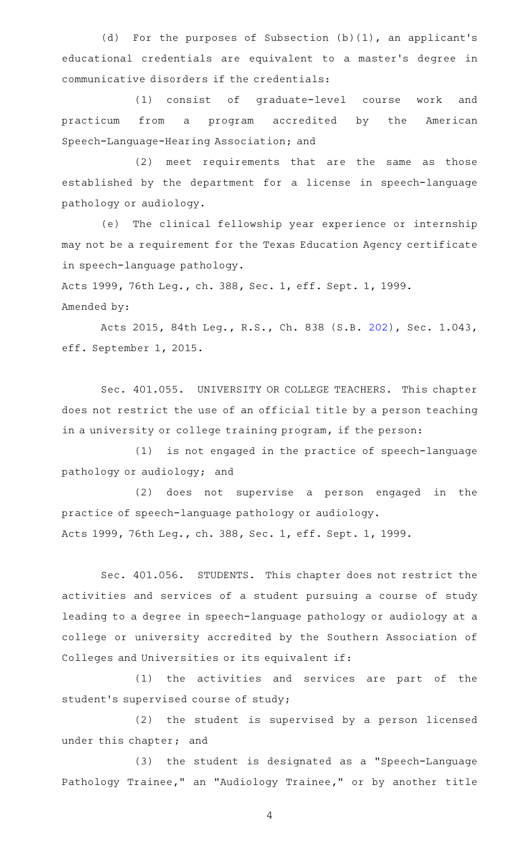(d) For the purposes of Subsection  $(b)(1)$ , an applicant's educational credentials are equivalent to a master's degree in communicative disorders if the credentials:

(1) consist of graduate-level course work and practicum from a program accredited by the American Speech-Language-Hearing Association; and

 $(2)$  meet requirements that are the same as those established by the department for a license in speech-language pathology or audiology.

(e) The clinical fellowship year experience or internship may not be a requirement for the Texas Education Agency certificate in speech-language pathology.

Acts 1999, 76th Leg., ch. 388, Sec. 1, eff. Sept. 1, 1999. Amended by:

Acts 2015, 84th Leg., R.S., Ch. 838 (S.B. [202](http://www.legis.state.tx.us/tlodocs/84R/billtext/html/SB00202F.HTM)), Sec. 1.043, eff. September 1, 2015.

Sec. 401.055. UNIVERSITY OR COLLEGE TEACHERS. This chapter does not restrict the use of an official title by a person teaching in a university or college training program, if the person:

(1) is not engaged in the practice of speech-language pathology or audiology; and

(2) does not supervise a person engaged in the practice of speech-language pathology or audiology. Acts 1999, 76th Leg., ch. 388, Sec. 1, eff. Sept. 1, 1999.

Sec. 401.056. STUDENTS. This chapter does not restrict the activities and services of a student pursuing a course of study leading to a degree in speech-language pathology or audiology at a college or university accredited by the Southern Association of Colleges and Universities or its equivalent if:

(1) the activities and services are part of the student 's supervised course of study;

(2) the student is supervised by a person licensed under this chapter; and

(3) the student is designated as a "Speech-Language Pathology Trainee," an "Audiology Trainee," or by another title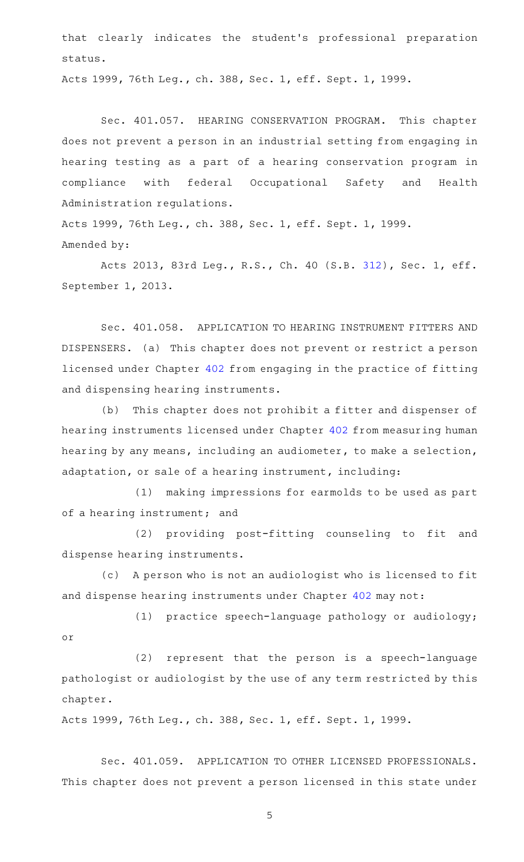that clearly indicates the student 's professional preparation status.

Acts 1999, 76th Leg., ch. 388, Sec. 1, eff. Sept. 1, 1999.

Sec. 401.057. HEARING CONSERVATION PROGRAM. This chapter does not prevent a person in an industrial setting from engaging in hearing testing as a part of a hearing conservation program in compliance with federal Occupational Safety and Health Administration regulations.

Acts 1999, 76th Leg., ch. 388, Sec. 1, eff. Sept. 1, 1999. Amended by:

Acts 2013, 83rd Leg., R.S., Ch. 40 (S.B. [312](http://www.legis.state.tx.us/tlodocs/83R/billtext/html/SB00312F.HTM)), Sec. 1, eff. September 1, 2013.

Sec. 401.058. APPLICATION TO HEARING INSTRUMENT FITTERS AND DISPENSERS. (a) This chapter does not prevent or restrict a person licensed under Chapter [402](http://www.statutes.legis.state.tx.us/GetStatute.aspx?Code=OC&Value=402) from engaging in the practice of fitting and dispensing hearing instruments.

(b) This chapter does not prohibit a fitter and dispenser of hearing instruments licensed under Chapter [402](http://www.statutes.legis.state.tx.us/GetStatute.aspx?Code=OC&Value=402) from measuring human hearing by any means, including an audiometer, to make a selection, adaptation, or sale of a hearing instrument, including:

(1) making impressions for earmolds to be used as part of a hearing instrument; and

(2) providing post-fitting counseling to fit and dispense hearing instruments.

(c) A person who is not an audiologist who is licensed to fit and dispense hearing instruments under Chapter [402](http://www.statutes.legis.state.tx.us/GetStatute.aspx?Code=OC&Value=402) may not:

(1) practice speech-language pathology or audiology; or

(2) represent that the person is a speech-language pathologist or audiologist by the use of any term restricted by this chapter.

Acts 1999, 76th Leg., ch. 388, Sec. 1, eff. Sept. 1, 1999.

Sec. 401.059. APPLICATION TO OTHER LICENSED PROFESSIONALS. This chapter does not prevent a person licensed in this state under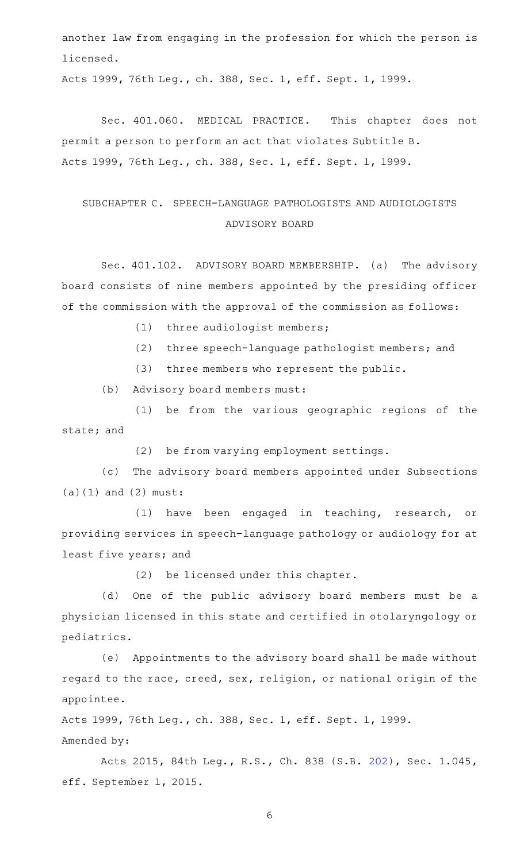another law from engaging in the profession for which the person is licensed.

Acts 1999, 76th Leg., ch. 388, Sec. 1, eff. Sept. 1, 1999.

Sec. 401.060. MEDICAL PRACTICE. This chapter does not permit a person to perform an act that violates Subtitle B. Acts 1999, 76th Leg., ch. 388, Sec. 1, eff. Sept. 1, 1999.

# SUBCHAPTER C. SPEECH-LANGUAGE PATHOLOGISTS AND AUDIOLOGISTS ADVISORY BOARD

Sec. 401.102. ADVISORY BOARD MEMBERSHIP. (a) The advisory board consists of nine members appointed by the presiding officer of the commission with the approval of the commission as follows:

(1) three audiologist members;

- (2) three speech-language pathologist members; and
- (3) three members who represent the public.

(b) Advisory board members must:

(1) be from the various geographic regions of the state; and

(2) be from varying employment settings.

(c) The advisory board members appointed under Subsections (a)(1) and (2) must:

(1) have been engaged in teaching, research, or providing services in speech-language pathology or audiology for at least five years; and

(2) be licensed under this chapter.

(d) One of the public advisory board members must be a physician licensed in this state and certified in otolaryngology or pediatrics.

(e) Appointments to the advisory board shall be made without regard to the race, creed, sex, religion, or national origin of the appointee.

Acts 1999, 76th Leg., ch. 388, Sec. 1, eff. Sept. 1, 1999. Amended by:

Acts 2015, 84th Leg., R.S., Ch. 838 (S.B. [202](http://www.legis.state.tx.us/tlodocs/84R/billtext/html/SB00202F.HTM)), Sec. 1.045, eff. September 1, 2015.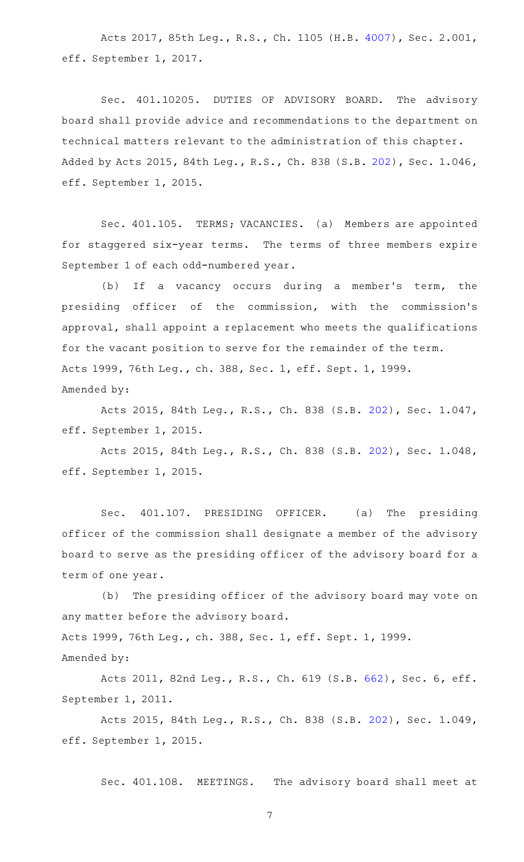Acts 2017, 85th Leg., R.S., Ch. 1105 (H.B. [4007](http://www.legis.state.tx.us/tlodocs/85R/billtext/html/HB04007F.HTM)), Sec. 2.001, eff. September 1, 2017.

Sec. 401.10205. DUTIES OF ADVISORY BOARD. The advisory board shall provide advice and recommendations to the department on technical matters relevant to the administration of this chapter. Added by Acts 2015, 84th Leg., R.S., Ch. 838 (S.B. [202\)](http://www.legis.state.tx.us/tlodocs/84R/billtext/html/SB00202F.HTM), Sec. 1.046, eff. September 1, 2015.

Sec. 401.105. TERMS; VACANCIES. (a) Members are appointed for staggered six-year terms. The terms of three members expire September 1 of each odd-numbered year.

(b) If a vacancy occurs during a member's term, the presiding officer of the commission, with the commission 's approval, shall appoint a replacement who meets the qualifications for the vacant position to serve for the remainder of the term. Acts 1999, 76th Leg., ch. 388, Sec. 1, eff. Sept. 1, 1999. Amended by:

Acts 2015, 84th Leg., R.S., Ch. 838 (S.B. [202](http://www.legis.state.tx.us/tlodocs/84R/billtext/html/SB00202F.HTM)), Sec. 1.047, eff. September 1, 2015.

Acts 2015, 84th Leg., R.S., Ch. 838 (S.B. [202](http://www.legis.state.tx.us/tlodocs/84R/billtext/html/SB00202F.HTM)), Sec. 1.048, eff. September 1, 2015.

Sec. 401.107. PRESIDING OFFICER. (a) The presiding officer of the commission shall designate a member of the advisory board to serve as the presiding officer of the advisory board for a term of one year.

(b) The presiding officer of the advisory board may vote on any matter before the advisory board. Acts 1999, 76th Leg., ch. 388, Sec. 1, eff. Sept. 1, 1999. Amended by:

Acts 2011, 82nd Leg., R.S., Ch. 619 (S.B. [662](http://www.legis.state.tx.us/tlodocs/82R/billtext/html/SB00662F.HTM)), Sec. 6, eff. September 1, 2011.

Acts 2015, 84th Leg., R.S., Ch. 838 (S.B. [202](http://www.legis.state.tx.us/tlodocs/84R/billtext/html/SB00202F.HTM)), Sec. 1.049, eff. September 1, 2015.

Sec. 401.108. MEETINGS. The advisory board shall meet at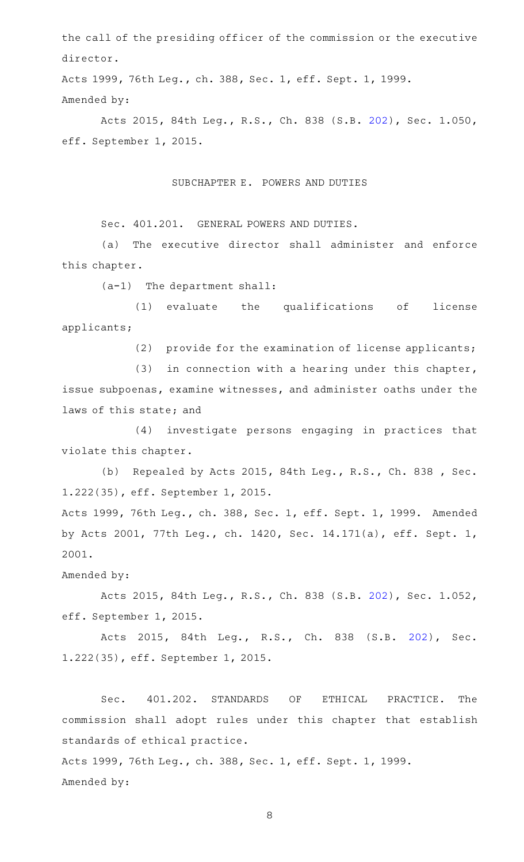the call of the presiding officer of the commission or the executive director.

Acts 1999, 76th Leg., ch. 388, Sec. 1, eff. Sept. 1, 1999. Amended by:

Acts 2015, 84th Leg., R.S., Ch. 838 (S.B. [202](http://www.legis.state.tx.us/tlodocs/84R/billtext/html/SB00202F.HTM)), Sec. 1.050, eff. September 1, 2015.

# SUBCHAPTER E. POWERS AND DUTIES

Sec. 401.201. GENERAL POWERS AND DUTIES.

(a) The executive director shall administer and enforce this chapter.

(a-1) The department shall:

(1) evaluate the qualifications of license applicants;

(2) provide for the examination of license applicants;

(3) in connection with a hearing under this chapter, issue subpoenas, examine witnesses, and administer oaths under the laws of this state; and

(4) investigate persons engaging in practices that violate this chapter.

(b) Repealed by Acts 2015, 84th Leg., R.S., Ch. 838 , Sec. 1.222(35), eff. September 1, 2015.

Acts 1999, 76th Leg., ch. 388, Sec. 1, eff. Sept. 1, 1999. Amended by Acts 2001, 77th Leg., ch. 1420, Sec. 14.171(a), eff. Sept. 1, 2001.

Amended by:

Acts 2015, 84th Leg., R.S., Ch. 838 (S.B. [202](http://www.legis.state.tx.us/tlodocs/84R/billtext/html/SB00202F.HTM)), Sec. 1.052, eff. September 1, 2015.

Acts 2015, 84th Leg., R.S., Ch. 838 (S.B. [202\)](http://www.legis.state.tx.us/tlodocs/84R/billtext/html/SB00202F.HTM), Sec. 1.222(35), eff. September 1, 2015.

Sec. 401.202. STANDARDS OF ETHICAL PRACTICE. The commission shall adopt rules under this chapter that establish standards of ethical practice. Acts 1999, 76th Leg., ch. 388, Sec. 1, eff. Sept. 1, 1999.

Amended by: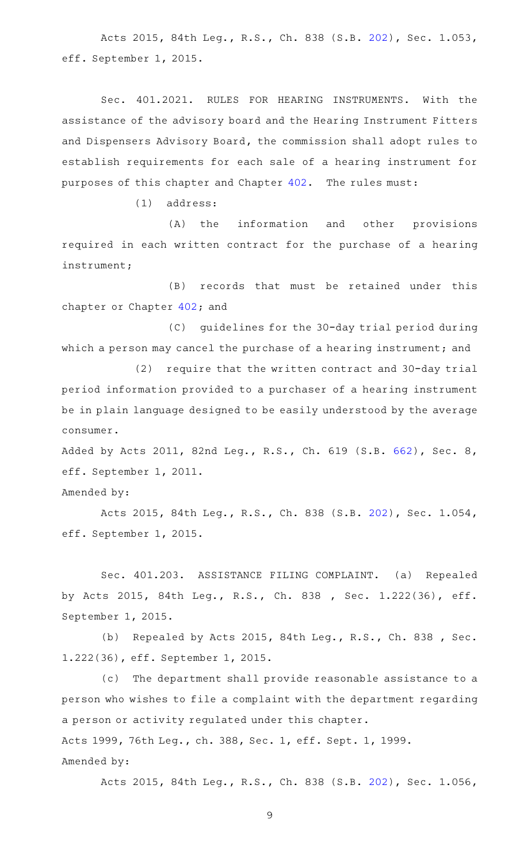Acts 2015, 84th Leg., R.S., Ch. 838 (S.B. [202](http://www.legis.state.tx.us/tlodocs/84R/billtext/html/SB00202F.HTM)), Sec. 1.053, eff. September 1, 2015.

Sec. 401.2021. RULES FOR HEARING INSTRUMENTS. With the assistance of the advisory board and the Hearing Instrument Fitters and Dispensers Advisory Board, the commission shall adopt rules to establish requirements for each sale of a hearing instrument for purposes of this chapter and Chapter [402.](http://www.statutes.legis.state.tx.us/GetStatute.aspx?Code=OC&Value=402) The rules must:

 $(1)$  address:

(A) the information and other provisions required in each written contract for the purchase of a hearing instrument;

(B) records that must be retained under this chapter or Chapter [402;](http://www.statutes.legis.state.tx.us/GetStatute.aspx?Code=OC&Value=402) and

(C) guidelines for the 30-day trial period during which a person may cancel the purchase of a hearing instrument; and

(2) require that the written contract and 30-day trial period information provided to a purchaser of a hearing instrument be in plain language designed to be easily understood by the average consumer.

Added by Acts 2011, 82nd Leg., R.S., Ch. 619 (S.B. [662](http://www.legis.state.tx.us/tlodocs/82R/billtext/html/SB00662F.HTM)), Sec. 8, eff. September 1, 2011.

Amended by:

Acts 2015, 84th Leg., R.S., Ch. 838 (S.B. [202](http://www.legis.state.tx.us/tlodocs/84R/billtext/html/SB00202F.HTM)), Sec. 1.054, eff. September 1, 2015.

Sec. 401.203. ASSISTANCE FILING COMPLAINT. (a) Repealed by Acts 2015, 84th Leg., R.S., Ch. 838 , Sec. 1.222(36), eff. September 1, 2015.

(b) Repealed by Acts 2015, 84th Leg., R.S., Ch. 838, Sec. 1.222(36), eff. September 1, 2015.

(c) The department shall provide reasonable assistance to a person who wishes to file a complaint with the department regarding a person or activity regulated under this chapter.

Acts 1999, 76th Leg., ch. 388, Sec. 1, eff. Sept. 1, 1999. Amended by:

Acts 2015, 84th Leg., R.S., Ch. 838 (S.B. [202](http://www.legis.state.tx.us/tlodocs/84R/billtext/html/SB00202F.HTM)), Sec. 1.056,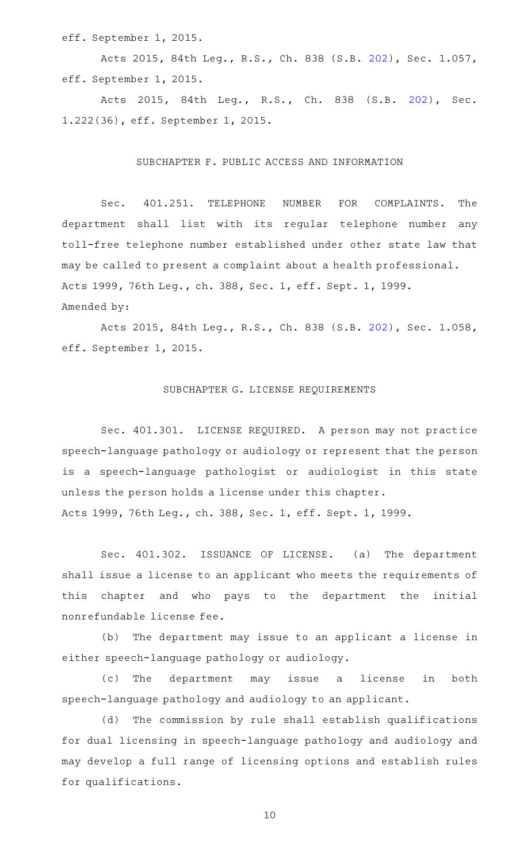eff. September 1, 2015.

Acts 2015, 84th Leg., R.S., Ch. 838 (S.B. [202](http://www.legis.state.tx.us/tlodocs/84R/billtext/html/SB00202F.HTM)), Sec. 1.057, eff. September 1, 2015.

Acts 2015, 84th Leg., R.S., Ch. 838 (S.B. [202\)](http://www.legis.state.tx.us/tlodocs/84R/billtext/html/SB00202F.HTM), Sec. 1.222(36), eff. September 1, 2015.

#### SUBCHAPTER F. PUBLIC ACCESS AND INFORMATION

Sec. 401.251. TELEPHONE NUMBER FOR COMPLAINTS. The department shall list with its regular telephone number any toll-free telephone number established under other state law that may be called to present a complaint about a health professional. Acts 1999, 76th Leg., ch. 388, Sec. 1, eff. Sept. 1, 1999. Amended by:

Acts 2015, 84th Leg., R.S., Ch. 838 (S.B. [202](http://www.legis.state.tx.us/tlodocs/84R/billtext/html/SB00202F.HTM)), Sec. 1.058, eff. September 1, 2015.

# SUBCHAPTER G. LICENSE REQUIREMENTS

Sec. 401.301. LICENSE REQUIRED. A person may not practice speech-language pathology or audiology or represent that the person is a speech-language pathologist or audiologist in this state unless the person holds a license under this chapter.

Acts 1999, 76th Leg., ch. 388, Sec. 1, eff. Sept. 1, 1999.

Sec. 401.302. ISSUANCE OF LICENSE. (a) The department shall issue a license to an applicant who meets the requirements of this chapter and who pays to the department the initial nonrefundable license fee.

(b) The department may issue to an applicant a license in either speech-language pathology or audiology.

(c) The department may issue a license in both speech-language pathology and audiology to an applicant.

(d) The commission by rule shall establish qualifications for dual licensing in speech-language pathology and audiology and may develop a full range of licensing options and establish rules for qualifications.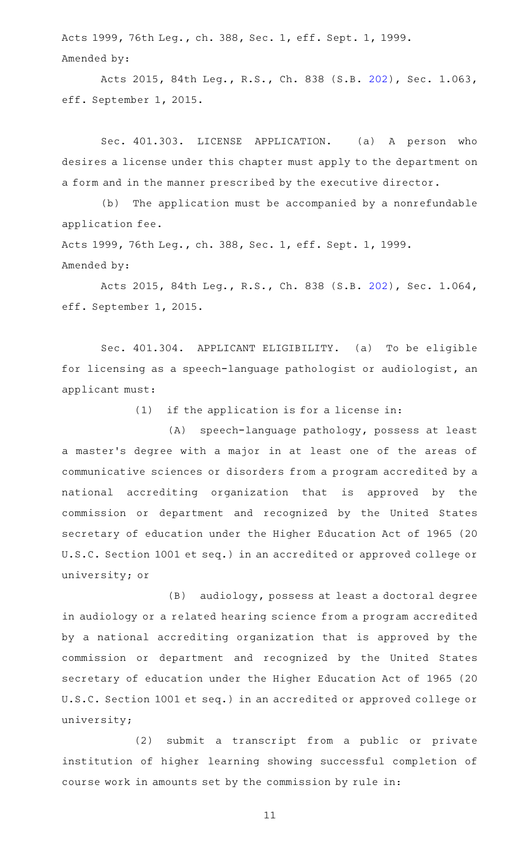Acts 1999, 76th Leg., ch. 388, Sec. 1, eff. Sept. 1, 1999. Amended by:

Acts 2015, 84th Leg., R.S., Ch. 838 (S.B. [202](http://www.legis.state.tx.us/tlodocs/84R/billtext/html/SB00202F.HTM)), Sec. 1.063, eff. September 1, 2015.

Sec. 401.303. LICENSE APPLICATION. (a) A person who desires a license under this chapter must apply to the department on a form and in the manner prescribed by the executive director.

(b) The application must be accompanied by a nonrefundable application fee.

Acts 1999, 76th Leg., ch. 388, Sec. 1, eff. Sept. 1, 1999. Amended by:

Acts 2015, 84th Leg., R.S., Ch. 838 (S.B. [202](http://www.legis.state.tx.us/tlodocs/84R/billtext/html/SB00202F.HTM)), Sec. 1.064, eff. September 1, 2015.

Sec. 401.304. APPLICANT ELIGIBILITY. (a) To be eligible for licensing as a speech-language pathologist or audiologist, an applicant must:

 $(1)$  if the application is for a license in:

(A) speech-language pathology, possess at least a master 's degree with a major in at least one of the areas of communicative sciences or disorders from a program accredited by a national accrediting organization that is approved by the commission or department and recognized by the United States secretary of education under the Higher Education Act of 1965 (20 U.S.C. Section 1001 et seq.) in an accredited or approved college or university; or

(B) audiology, possess at least a doctoral degree in audiology or a related hearing science from a program accredited by a national accrediting organization that is approved by the commission or department and recognized by the United States secretary of education under the Higher Education Act of 1965 (20 U.S.C. Section 1001 et seq.) in an accredited or approved college or university;

(2) submit a transcript from a public or private institution of higher learning showing successful completion of course work in amounts set by the commission by rule in: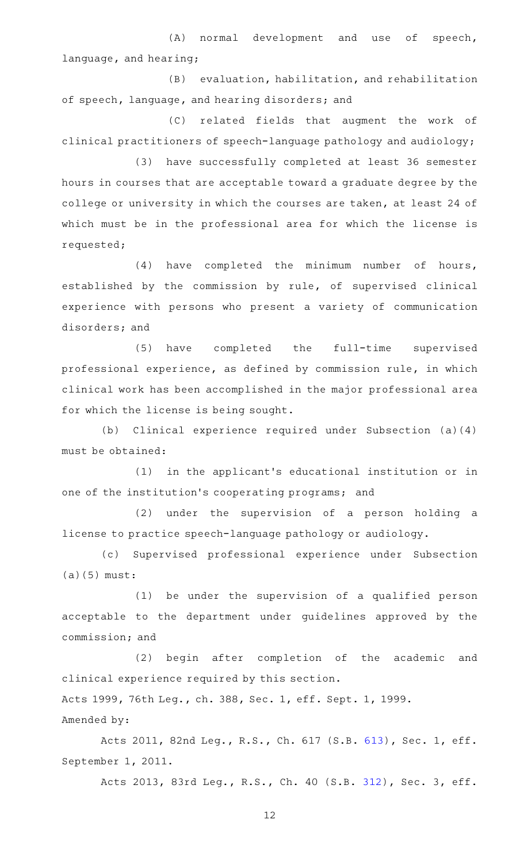(A) normal development and use of speech, language, and hearing;

(B) evaluation, habilitation, and rehabilitation of speech, language, and hearing disorders; and

(C) related fields that augment the work of clinical practitioners of speech-language pathology and audiology;

(3) have successfully completed at least 36 semester hours in courses that are acceptable toward a graduate degree by the college or university in which the courses are taken, at least 24 of which must be in the professional area for which the license is requested;

(4) have completed the minimum number of hours, established by the commission by rule, of supervised clinical experience with persons who present a variety of communication disorders; and

(5) have completed the full-time supervised professional experience, as defined by commission rule, in which clinical work has been accomplished in the major professional area for which the license is being sought.

(b) Clinical experience required under Subsection (a)(4) must be obtained:

(1) in the applicant's educational institution or in one of the institution 's cooperating programs; and

(2) under the supervision of a person holding a license to practice speech-language pathology or audiology.

(c) Supervised professional experience under Subsection (a)(5) must:

(1) be under the supervision of a qualified person acceptable to the department under guidelines approved by the commission; and

(2) begin after completion of the academic and clinical experience required by this section. Acts 1999, 76th Leg., ch. 388, Sec. 1, eff. Sept. 1, 1999. Amended by:

Acts 2011, 82nd Leg., R.S., Ch. 617 (S.B. [613](http://www.legis.state.tx.us/tlodocs/82R/billtext/html/SB00613F.HTM)), Sec. 1, eff. September 1, 2011.

Acts 2013, 83rd Leg., R.S., Ch. 40 (S.B. [312](http://www.legis.state.tx.us/tlodocs/83R/billtext/html/SB00312F.HTM)), Sec. 3, eff.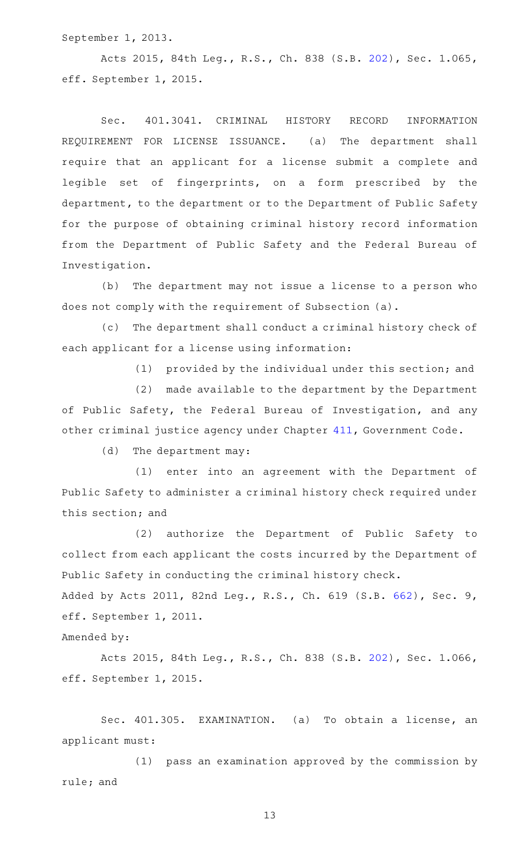September 1, 2013.

Acts 2015, 84th Leg., R.S., Ch. 838 (S.B. [202](http://www.legis.state.tx.us/tlodocs/84R/billtext/html/SB00202F.HTM)), Sec. 1.065, eff. September 1, 2015.

Sec. 401.3041. CRIMINAL HISTORY RECORD INFORMATION REQUIREMENT FOR LICENSE ISSUANCE. (a) The department shall require that an applicant for a license submit a complete and legible set of fingerprints, on a form prescribed by the department, to the department or to the Department of Public Safety for the purpose of obtaining criminal history record information from the Department of Public Safety and the Federal Bureau of Investigation.

(b) The department may not issue a license to a person who does not comply with the requirement of Subsection (a).

(c) The department shall conduct a criminal history check of each applicant for a license using information:

(1) provided by the individual under this section; and

(2) made available to the department by the Department of Public Safety, the Federal Bureau of Investigation, and any other criminal justice agency under Chapter [411,](http://www.statutes.legis.state.tx.us/GetStatute.aspx?Code=GV&Value=411) Government Code.

(d) The department may:

(1) enter into an agreement with the Department of Public Safety to administer a criminal history check required under this section; and

(2) authorize the Department of Public Safety to collect from each applicant the costs incurred by the Department of Public Safety in conducting the criminal history check.

Added by Acts 2011, 82nd Leg., R.S., Ch. 619 (S.B. [662](http://www.legis.state.tx.us/tlodocs/82R/billtext/html/SB00662F.HTM)), Sec. 9, eff. September 1, 2011.

Amended by:

Acts 2015, 84th Leg., R.S., Ch. 838 (S.B. [202](http://www.legis.state.tx.us/tlodocs/84R/billtext/html/SB00202F.HTM)), Sec. 1.066, eff. September 1, 2015.

Sec. 401.305. EXAMINATION. (a) To obtain a license, an applicant must:

 $(1)$  pass an examination approved by the commission by rule; and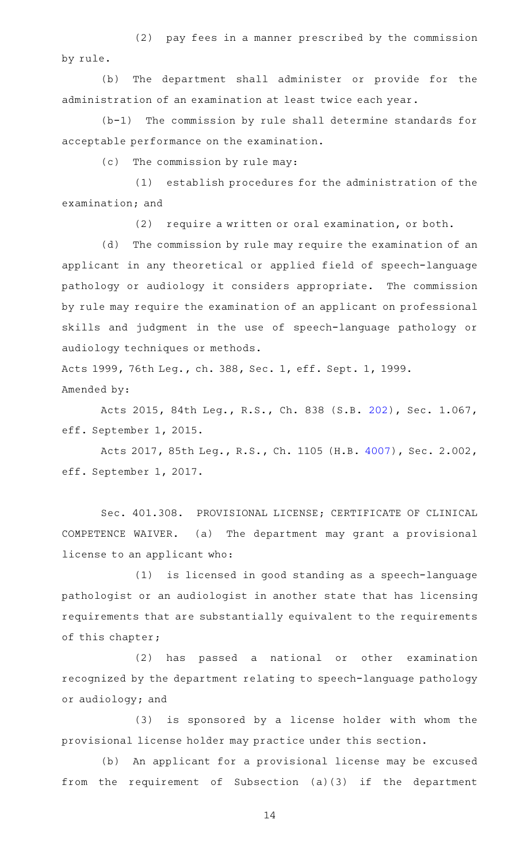(2) pay fees in a manner prescribed by the commission by rule.

(b) The department shall administer or provide for the administration of an examination at least twice each year.

 $(b-1)$  The commission by rule shall determine standards for acceptable performance on the examination.

(c) The commission by rule may:

(1) establish procedures for the administration of the examination; and

(2) require a written or oral examination, or both.

(d) The commission by rule may require the examination of an applicant in any theoretical or applied field of speech-language pathology or audiology it considers appropriate. The commission by rule may require the examination of an applicant on professional skills and judgment in the use of speech-language pathology or audiology techniques or methods.

Acts 1999, 76th Leg., ch. 388, Sec. 1, eff. Sept. 1, 1999. Amended by:

Acts 2015, 84th Leg., R.S., Ch. 838 (S.B. [202](http://www.legis.state.tx.us/tlodocs/84R/billtext/html/SB00202F.HTM)), Sec. 1.067, eff. September 1, 2015.

Acts 2017, 85th Leg., R.S., Ch. 1105 (H.B. [4007](http://www.legis.state.tx.us/tlodocs/85R/billtext/html/HB04007F.HTM)), Sec. 2.002, eff. September 1, 2017.

Sec. 401.308. PROVISIONAL LICENSE; CERTIFICATE OF CLINICAL COMPETENCE WAIVER. (a) The department may grant a provisional license to an applicant who:

 $(1)$  is licensed in good standing as a speech-language pathologist or an audiologist in another state that has licensing requirements that are substantially equivalent to the requirements of this chapter;

(2) has passed a national or other examination recognized by the department relating to speech-language pathology or audiology; and

(3) is sponsored by a license holder with whom the provisional license holder may practice under this section.

(b) An applicant for a provisional license may be excused from the requirement of Subsection (a)(3) if the department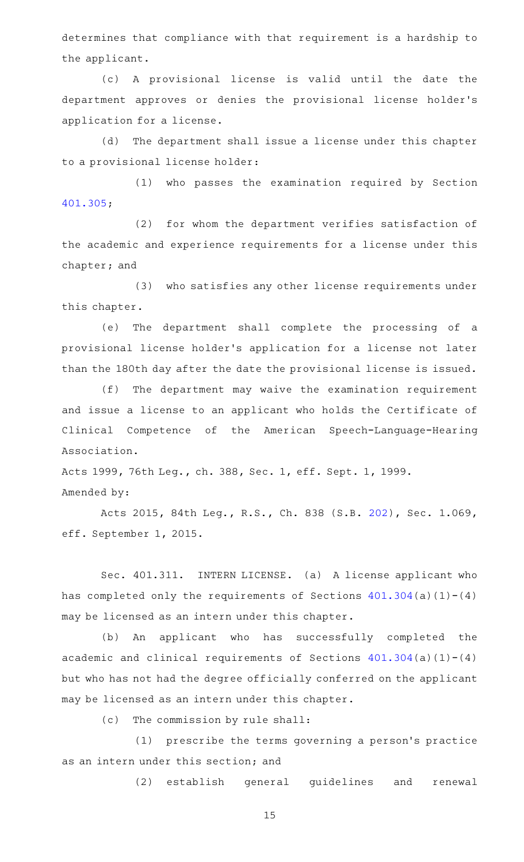determines that compliance with that requirement is a hardship to the applicant.

(c)AAA provisional license is valid until the date the department approves or denies the provisional license holder 's application for a license.

(d) The department shall issue a license under this chapter to a provisional license holder:

(1) who passes the examination required by Section [401.305;](http://www.statutes.legis.state.tx.us/GetStatute.aspx?Code=OC&Value=401.305)

(2) for whom the department verifies satisfaction of the academic and experience requirements for a license under this chapter; and

(3) who satisfies any other license requirements under this chapter.

(e) The department shall complete the processing of a provisional license holder 's application for a license not later than the 180th day after the date the provisional license is issued.

(f) The department may waive the examination requirement and issue a license to an applicant who holds the Certificate of Clinical Competence of the American Speech-Language-Hearing Association.

Acts 1999, 76th Leg., ch. 388, Sec. 1, eff. Sept. 1, 1999. Amended by:

Acts 2015, 84th Leg., R.S., Ch. 838 (S.B. [202](http://www.legis.state.tx.us/tlodocs/84R/billtext/html/SB00202F.HTM)), Sec. 1.069, eff. September 1, 2015.

Sec. 401.311. INTERN LICENSE. (a) A license applicant who has completed only the requirements of Sections  $401.304(a)(1)-(4)$  $401.304(a)(1)-(4)$ may be licensed as an intern under this chapter.

(b) An applicant who has successfully completed the academic and clinical requirements of Sections  $401.304(a)(1)-(4)$  $401.304(a)(1)-(4)$ but who has not had the degree officially conferred on the applicant may be licensed as an intern under this chapter.

(c) The commission by rule shall:

(1) prescribe the terms governing a person's practice as an intern under this section; and

(2) establish general guidelines and renewal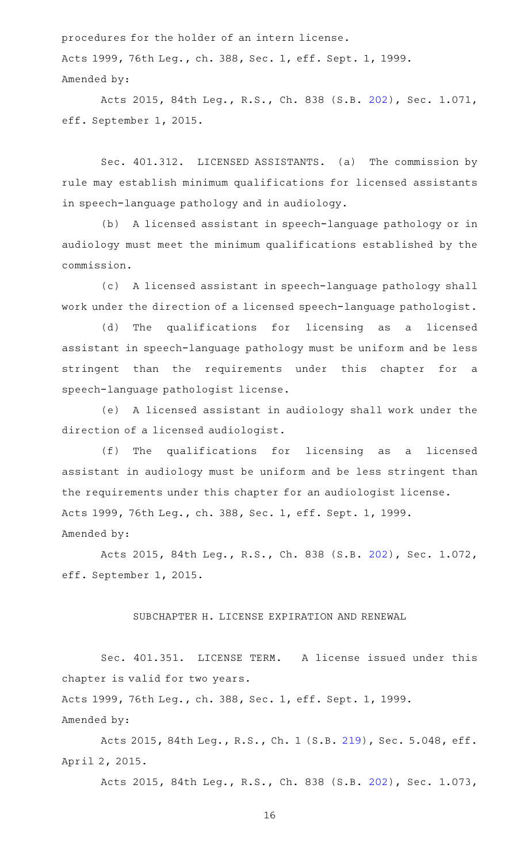procedures for the holder of an intern license. Acts 1999, 76th Leg., ch. 388, Sec. 1, eff. Sept. 1, 1999. Amended by:

Acts 2015, 84th Leg., R.S., Ch. 838 (S.B. [202](http://www.legis.state.tx.us/tlodocs/84R/billtext/html/SB00202F.HTM)), Sec. 1.071, eff. September 1, 2015.

Sec. 401.312. LICENSED ASSISTANTS. (a) The commission by rule may establish minimum qualifications for licensed assistants in speech-language pathology and in audiology.

(b) A licensed assistant in speech-language pathology or in audiology must meet the minimum qualifications established by the commission.

(c) A licensed assistant in speech-language pathology shall work under the direction of a licensed speech-language pathologist.

(d) The qualifications for licensing as a licensed assistant in speech-language pathology must be uniform and be less stringent than the requirements under this chapter for a speech-language pathologist license.

(e) A licensed assistant in audiology shall work under the direction of a licensed audiologist.

(f) The qualifications for licensing as a licensed assistant in audiology must be uniform and be less stringent than the requirements under this chapter for an audiologist license. Acts 1999, 76th Leg., ch. 388, Sec. 1, eff. Sept. 1, 1999. Amended by:

Acts 2015, 84th Leg., R.S., Ch. 838 (S.B. [202](http://www.legis.state.tx.us/tlodocs/84R/billtext/html/SB00202F.HTM)), Sec. 1.072, eff. September 1, 2015.

SUBCHAPTER H. LICENSE EXPIRATION AND RENEWAL

Sec. 401.351. LICENSE TERM. A license issued under this chapter is valid for two years.

Acts 1999, 76th Leg., ch. 388, Sec. 1, eff. Sept. 1, 1999.

Amended by:

Acts 2015, 84th Leg., R.S., Ch. 1 (S.B. [219](http://www.legis.state.tx.us/tlodocs/84R/billtext/html/SB00219F.HTM)), Sec. 5.048, eff. April 2, 2015.

Acts 2015, 84th Leg., R.S., Ch. 838 (S.B. [202](http://www.legis.state.tx.us/tlodocs/84R/billtext/html/SB00202F.HTM)), Sec. 1.073,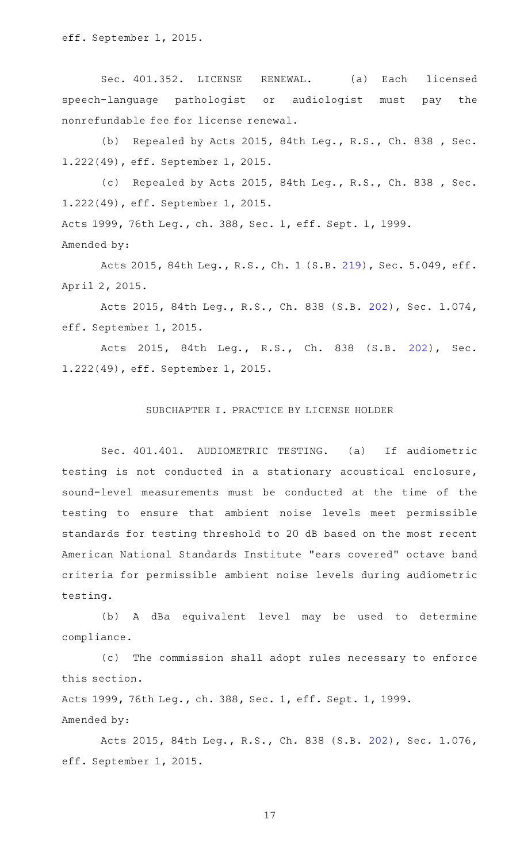eff. September 1, 2015.

Sec. 401.352. LICENSE RENEWAL. (a) Each licensed speech-language pathologist or audiologist must pay the nonrefundable fee for license renewal.

(b) Repealed by Acts 2015, 84th Leg., R.S., Ch. 838, Sec. 1.222(49), eff. September 1, 2015.

(c) Repealed by Acts 2015, 84th Leg., R.S., Ch. 838 , Sec. 1.222(49), eff. September 1, 2015.

Acts 1999, 76th Leg., ch. 388, Sec. 1, eff. Sept. 1, 1999. Amended by:

Acts 2015, 84th Leg., R.S., Ch. 1 (S.B. [219](http://www.legis.state.tx.us/tlodocs/84R/billtext/html/SB00219F.HTM)), Sec. 5.049, eff. April 2, 2015.

Acts 2015, 84th Leg., R.S., Ch. 838 (S.B. [202](http://www.legis.state.tx.us/tlodocs/84R/billtext/html/SB00202F.HTM)), Sec. 1.074, eff. September 1, 2015.

Acts 2015, 84th Leg., R.S., Ch. 838 (S.B. [202\)](http://www.legis.state.tx.us/tlodocs/84R/billtext/html/SB00202F.HTM), Sec. 1.222(49), eff. September 1, 2015.

## SUBCHAPTER I. PRACTICE BY LICENSE HOLDER

Sec. 401.401. AUDIOMETRIC TESTING. (a) If audiometric testing is not conducted in a stationary acoustical enclosure, sound-level measurements must be conducted at the time of the testing to ensure that ambient noise levels meet permissible standards for testing threshold to 20 dB based on the most recent American National Standards Institute "ears covered" octave band criteria for permissible ambient noise levels during audiometric testing.

(b)AAA dBa equivalent level may be used to determine compliance.

(c) The commission shall adopt rules necessary to enforce this section.

Acts 1999, 76th Leg., ch. 388, Sec. 1, eff. Sept. 1, 1999. Amended by:

Acts 2015, 84th Leg., R.S., Ch. 838 (S.B. [202](http://www.legis.state.tx.us/tlodocs/84R/billtext/html/SB00202F.HTM)), Sec. 1.076, eff. September 1, 2015.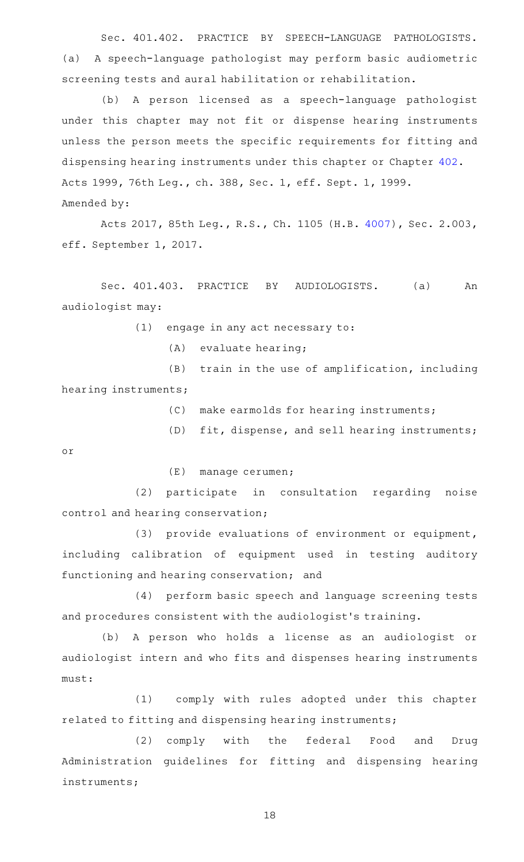Sec. 401.402. PRACTICE BY SPEECH-LANGUAGE PATHOLOGISTS. (a) A speech-language pathologist may perform basic audiometric screening tests and aural habilitation or rehabilitation.

(b) A person licensed as a speech-language pathologist under this chapter may not fit or dispense hearing instruments unless the person meets the specific requirements for fitting and dispensing hearing instruments under this chapter or Chapter [402.](http://www.statutes.legis.state.tx.us/GetStatute.aspx?Code=OC&Value=402) Acts 1999, 76th Leg., ch. 388, Sec. 1, eff. Sept. 1, 1999. Amended by:

Acts 2017, 85th Leg., R.S., Ch. 1105 (H.B. [4007](http://www.legis.state.tx.us/tlodocs/85R/billtext/html/HB04007F.HTM)), Sec. 2.003, eff. September 1, 2017.

Sec. 401.403. PRACTICE BY AUDIOLOGISTS. (a) An audiologist may:

 $(1)$  engage in any act necessary to:

 $(A)$  evaluate hearing;

(B) train in the use of amplification, including hearing instruments;

(C) make earmolds for hearing instruments;

 $(D)$  fit, dispense, and sell hearing instruments; or

 $(E)$  manage cerumen;

(2) participate in consultation regarding noise control and hearing conservation;

(3) provide evaluations of environment or equipment, including calibration of equipment used in testing auditory functioning and hearing conservation; and

(4) perform basic speech and language screening tests and procedures consistent with the audiologist 's training.

(b) A person who holds a license as an audiologist or audiologist intern and who fits and dispenses hearing instruments must:

(1) comply with rules adopted under this chapter related to fitting and dispensing hearing instruments;

(2) comply with the federal Food and Drug Administration guidelines for fitting and dispensing hearing instruments;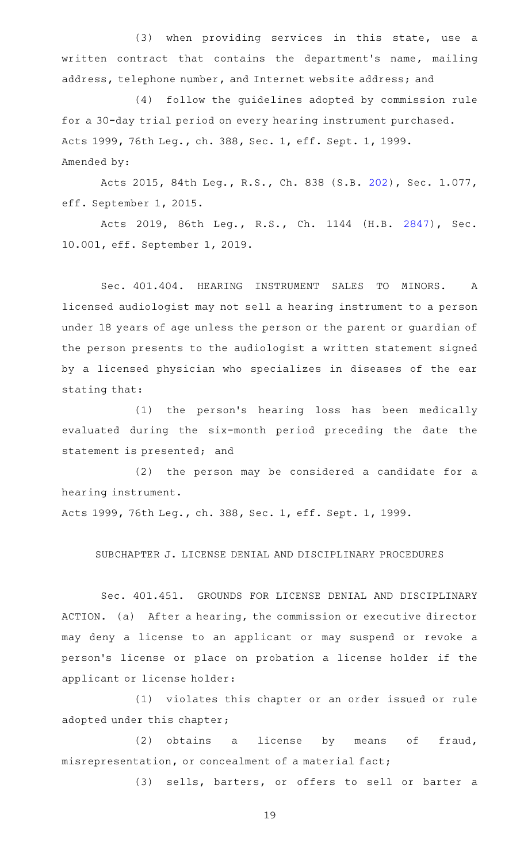(3) when providing services in this state, use a written contract that contains the department's name, mailing address, telephone number, and Internet website address; and

(4) follow the guidelines adopted by commission rule for a 30-day trial period on every hearing instrument purchased. Acts 1999, 76th Leg., ch. 388, Sec. 1, eff. Sept. 1, 1999. Amended by:

Acts 2015, 84th Leg., R.S., Ch. 838 (S.B. [202](http://www.legis.state.tx.us/tlodocs/84R/billtext/html/SB00202F.HTM)), Sec. 1.077, eff. September 1, 2015.

Acts 2019, 86th Leg., R.S., Ch. 1144 (H.B. [2847\)](http://www.legis.state.tx.us/tlodocs/86R/billtext/html/HB02847F.HTM), Sec. 10.001, eff. September 1, 2019.

Sec. 401.404. HEARING INSTRUMENT SALES TO MINORS. A licensed audiologist may not sell a hearing instrument to a person under 18 years of age unless the person or the parent or guardian of the person presents to the audiologist a written statement signed by a licensed physician who specializes in diseases of the ear stating that:

(1) the person's hearing loss has been medically evaluated during the six-month period preceding the date the statement is presented; and

(2) the person may be considered a candidate for a hearing instrument.

Acts 1999, 76th Leg., ch. 388, Sec. 1, eff. Sept. 1, 1999.

SUBCHAPTER J. LICENSE DENIAL AND DISCIPLINARY PROCEDURES

Sec. 401.451. GROUNDS FOR LICENSE DENIAL AND DISCIPLINARY ACTION. (a) After a hearing, the commission or executive director may deny a license to an applicant or may suspend or revoke a person 's license or place on probation a license holder if the applicant or license holder:

(1) violates this chapter or an order issued or rule adopted under this chapter;

(2) obtains a license by means of fraud, misrepresentation, or concealment of a material fact;

(3) sells, barters, or offers to sell or barter a